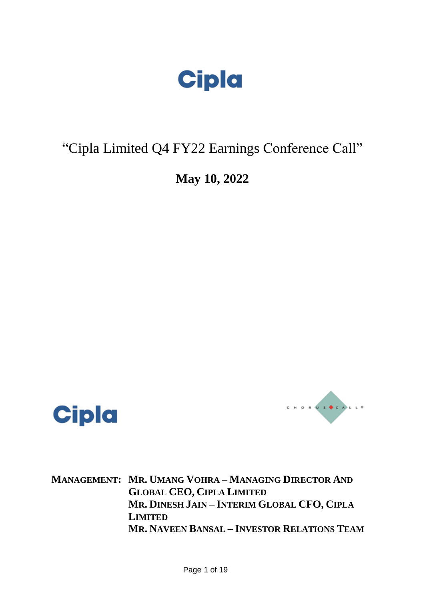

# "Cipla Limited Q4 FY22 Earnings Conference Call"

## **May 10, 2022**





**MANAGEMENT: MR. UMANG VOHRA – MANAGING DIRECTOR AND GLOBAL CEO, CIPLA LIMITED MR. DINESH JAIN – INTERIM GLOBAL CFO, CIPLA LIMITED MR. NAVEEN BANSAL – INVESTOR RELATIONS TEAM**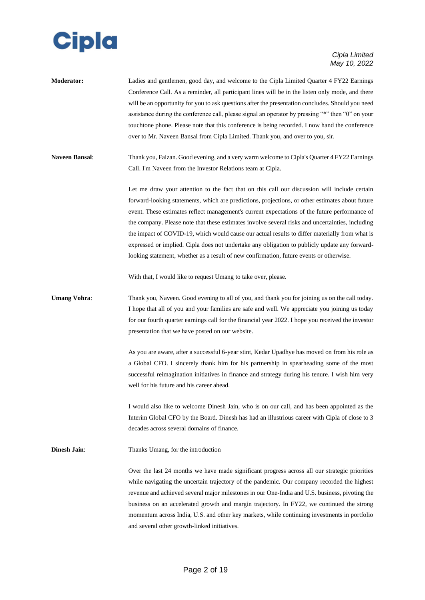

**Moderator:** Ladies and gentlemen, good day, and welcome to the Cipla Limited Quarter 4 FY22 Earnings Conference Call. As a reminder, all participant lines will be in the listen only mode, and there will be an opportunity for you to ask questions after the presentation concludes. Should you need assistance during the conference call, please signal an operator by pressing "\*" then "0" on your touchtone phone. Please note that this conference is being recorded. I now hand the conference over to Mr. Naveen Bansal from Cipla Limited. Thank you, and over to you, sir.

**Naveen Bansal**: Thank you, Faizan. Good evening, and a very warm welcome to Cipla's Quarter 4 FY22 Earnings Call. I'm Naveen from the Investor Relations team at Cipla.

> Let me draw your attention to the fact that on this call our discussion will include certain forward-looking statements, which are predictions, projections, or other estimates about future event. These estimates reflect management's current expectations of the future performance of the company. Please note that these estimates involve several risks and uncertainties, including the impact of COVID-19, which would cause our actual results to differ materially from what is expressed or implied. Cipla does not undertake any obligation to publicly update any forwardlooking statement, whether as a result of new confirmation, future events or otherwise.

With that, I would like to request Umang to take over, please.

## **Umang Vohra:** Thank you, Naveen. Good evening to all of you, and thank you for joining us on the call today. I hope that all of you and your families are safe and well. We appreciate you joining us today for our fourth quarter earnings call for the financial year 2022. I hope you received the investor presentation that we have posted on our website.

As you are aware, after a successful 6-year stint, Kedar Upadhye has moved on from his role as a Global CFO. I sincerely thank him for his partnership in spearheading some of the most successful reimagination initiatives in finance and strategy during his tenure. I wish him very well for his future and his career ahead.

I would also like to welcome Dinesh Jain, who is on our call, and has been appointed as the Interim Global CFO by the Board. Dinesh has had an illustrious career with Cipla of close to 3 decades across several domains of finance.

**Dinesh Jain:** Thanks Umang, for the introduction

Over the last 24 months we have made significant progress across all our strategic priorities while navigating the uncertain trajectory of the pandemic. Our company recorded the highest revenue and achieved several major milestones in our One-India and U.S. business, pivoting the business on an accelerated growth and margin trajectory. In FY22, we continued the strong momentum across India, U.S. and other key markets, while continuing investments in portfolio and several other growth-linked initiatives.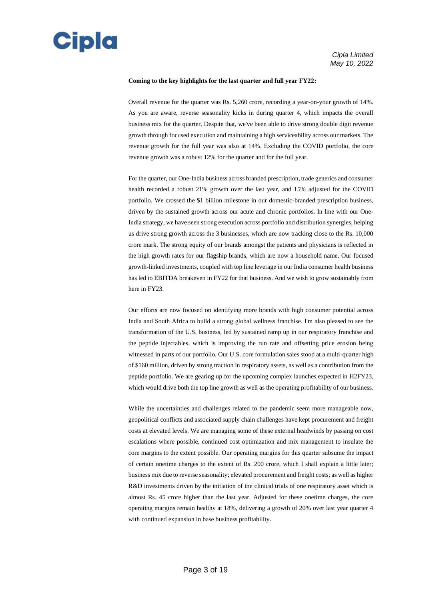

#### **Coming to the key highlights for the last quarter and full year FY22:**

Overall revenue for the quarter was Rs. 5,260 crore, recording a year-on-your growth of 14%. As you are aware, reverse seasonality kicks in during quarter 4, which impacts the overall business mix for the quarter. Despite that, we've been able to drive strong double digit revenue growth through focused execution and maintaining a high serviceability across our markets. The revenue growth for the full year was also at 14%. Excluding the COVID portfolio, the core revenue growth was a robust 12% for the quarter and for the full year.

For the quarter, our One-India business across branded prescription, trade generics and consumer health recorded a robust 21% growth over the last year, and 15% adjusted for the COVID portfolio. We crossed the \$1 billion milestone in our domestic-branded prescription business, driven by the sustained growth across our acute and chronic portfolios. In line with our One-India strategy, we have seen strong execution across portfolio and distribution synergies, helping us drive strong growth across the 3 businesses, which are now tracking close to the Rs. 10,000 crore mark. The strong equity of our brands amongst the patients and physicians is reflected in the high growth rates for our flagship brands, which are now a household name. Our focused growth-linked investments, coupled with top line leverage in our India consumer health business has led to EBITDA breakeven in FY22 for that business. And we wish to grow sustainably from here in FY23.

Our efforts are now focused on identifying more brands with high consumer potential across India and South Africa to build a strong global wellness franchise. I'm also pleased to see the transformation of the U.S. business, led by sustained ramp up in our respiratory franchise and the peptide injectables, which is improving the run rate and offsetting price erosion being witnessed in parts of our portfolio. Our U.S. core formulation sales stood at a multi-quarter high of \$160 million, driven by strong traction in respiratory assets, as well as a contribution from the peptide portfolio. We are gearing up for the upcoming complex launches expected in H2FY23, which would drive both the top line growth as well as the operating profitability of our business.

While the uncertainties and challenges related to the pandemic seem more manageable now, geopolitical conflicts and associated supply chain challenges have kept procurement and freight costs at elevated levels. We are managing some of these external headwinds by passing on cost escalations where possible, continued cost optimization and mix management to insulate the core margins to the extent possible. Our operating margins for this quarter subsume the impact of certain onetime charges to the extent of Rs. 200 crore, which I shall explain a little later; business mix due to reverse seasonality; elevated procurement and freight costs; as well as higher R&D investments driven by the initiation of the clinical trials of one respiratory asset which is almost Rs. 45 crore higher than the last year. Adjusted for these onetime charges, the core operating margins remain healthy at 18%, delivering a growth of 20% over last year quarter 4 with continued expansion in base business profitability.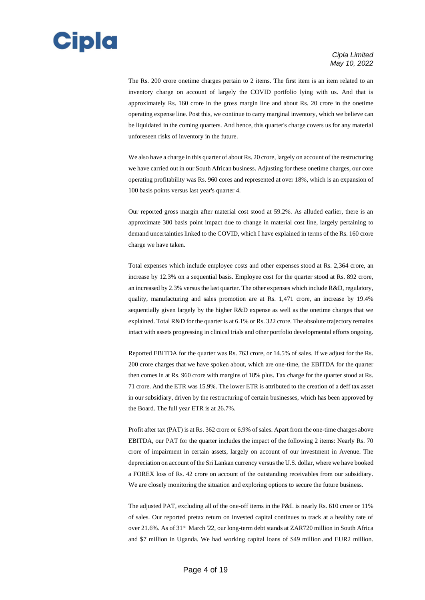

The Rs. 200 crore onetime charges pertain to 2 items. The first item is an item related to an inventory charge on account of largely the COVID portfolio lying with us. And that is approximately Rs. 160 crore in the gross margin line and about Rs. 20 crore in the onetime operating expense line. Post this, we continue to carry marginal inventory, which we believe can be liquidated in the coming quarters. And hence, this quarter's charge covers us for any material unforeseen risks of inventory in the future.

We also have a charge in this quarter of about Rs. 20 crore, largely on account of the restructuring we have carried out in our South African business. Adjusting for these onetime charges, our core operating profitability was Rs. 960 cores and represented at over 18%, which is an expansion of 100 basis points versus last year's quarter 4.

Our reported gross margin after material cost stood at 59.2%. As alluded earlier, there is an approximate 300 basis point impact due to change in material cost line, largely pertaining to demand uncertainties linked to the COVID, which I have explained in terms of the Rs. 160 crore charge we have taken.

Total expenses which include employee costs and other expenses stood at Rs. 2,364 crore, an increase by 12.3% on a sequential basis. Employee cost for the quarter stood at Rs. 892 crore, an increased by 2.3% versus the last quarter. The other expenses which include R&D, regulatory, quality, manufacturing and sales promotion are at Rs. 1,471 crore, an increase by 19.4% sequentially given largely by the higher R&D expense as well as the onetime charges that we explained. Total R&D for the quarter is at 6.1% or Rs. 322 crore. The absolute trajectory remains intact with assets progressing in clinical trials and other portfolio developmental efforts ongoing.

Reported EBITDA for the quarter was Rs. 763 crore, or 14.5% of sales. If we adjust for the Rs. 200 crore charges that we have spoken about, which are one-time, the EBITDA for the quarter then comes in at Rs. 960 crore with margins of 18% plus. Tax charge for the quarter stood at Rs. 71 crore. And the ETR was 15.9%. The lower ETR is attributed to the creation of a deff tax asset in our subsidiary, driven by the restructuring of certain businesses, which has been approved by the Board. The full year ETR is at 26.7%.

Profit after tax (PAT) is at Rs. 362 crore or 6.9% of sales. Apart from the one-time charges above EBITDA, our PAT for the quarter includes the impact of the following 2 items: Nearly Rs. 70 crore of impairment in certain assets, largely on account of our investment in Avenue. The depreciation on account of the Sri Lankan currency versus the U.S. dollar, where we have booked a FOREX loss of Rs. 42 crore on account of the outstanding receivables from our subsidiary. We are closely monitoring the situation and exploring options to secure the future business.

The adjusted PAT, excluding all of the one-off items in the P&L is nearly Rs. 610 crore or 11% of sales. Our reported pretax return on invested capital continues to track at a healthy rate of over 21.6%. As of 31st March '22, our long-term debt stands at ZAR720 million in South Africa and \$7 million in Uganda. We had working capital loans of \$49 million and EUR2 million.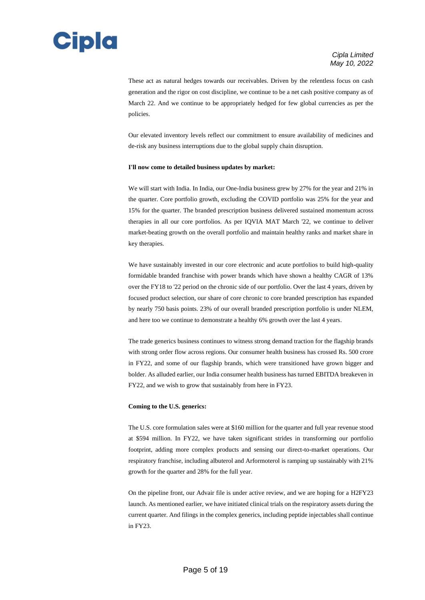

These act as natural hedges towards our receivables. Driven by the relentless focus on cash generation and the rigor on cost discipline, we continue to be a net cash positive company as of March 22. And we continue to be appropriately hedged for few global currencies as per the policies.

Our elevated inventory levels reflect our commitment to ensure availability of medicines and de-risk any business interruptions due to the global supply chain disruption.

#### **I'll now come to detailed business updates by market:**

We will start with India. In India, our One-India business grew by 27% for the year and 21% in the quarter. Core portfolio growth, excluding the COVID portfolio was 25% for the year and 15% for the quarter. The branded prescription business delivered sustained momentum across therapies in all our core portfolios. As per IQVIA MAT March '22, we continue to deliver market-beating growth on the overall portfolio and maintain healthy ranks and market share in key therapies.

We have sustainably invested in our core electronic and acute portfolios to build high-quality formidable branded franchise with power brands which have shown a healthy CAGR of 13% over the FY18 to '22 period on the chronic side of our portfolio. Over the last 4 years, driven by focused product selection, our share of core chronic to core branded prescription has expanded by nearly 750 basis points. 23% of our overall branded prescription portfolio is under NLEM, and here too we continue to demonstrate a healthy 6% growth over the last 4 years.

The trade generics business continues to witness strong demand traction for the flagship brands with strong order flow across regions. Our consumer health business has crossed Rs. 500 crore in FY22, and some of our flagship brands, which were transitioned have grown bigger and bolder. As alluded earlier, our India consumer health business has turned EBITDA breakeven in FY22, and we wish to grow that sustainably from here in FY23.

#### **Coming to the U.S. generics:**

The U.S. core formulation sales were at \$160 million for the quarter and full year revenue stood at \$594 million. In FY22, we have taken significant strides in transforming our portfolio footprint, adding more complex products and sensing our direct-to-market operations. Our respiratory franchise, including albuterol and Arformoterol is ramping up sustainably with 21% growth for the quarter and 28% for the full year.

On the pipeline front, our Advair file is under active review, and we are hoping for a H2FY23 launch. As mentioned earlier, we have initiated clinical trials on the respiratory assets during the current quarter. And filings in the complex generics, including peptide injectables shall continue in FY23.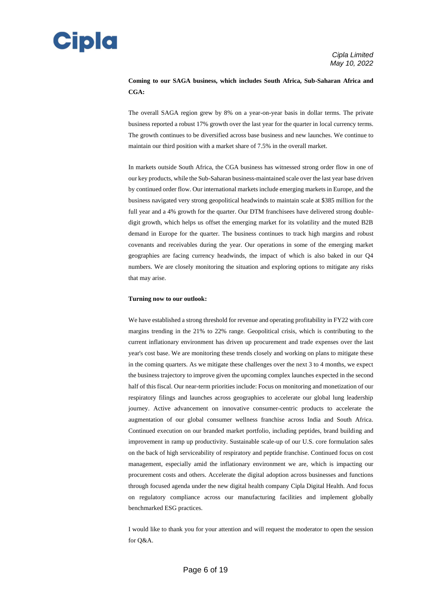

### **Coming to our SAGA business, which includes South Africa, Sub-Saharan Africa and CGA:**

The overall SAGA region grew by 8% on a year-on-year basis in dollar terms. The private business reported a robust 17% growth over the last year for the quarter in local currency terms. The growth continues to be diversified across base business and new launches. We continue to maintain our third position with a market share of 7.5% in the overall market.

In markets outside South Africa, the CGA business has witnessed strong order flow in one of our key products, while the Sub-Saharan business-maintained scale over the last year base driven by continued order flow. Our international markets include emerging markets in Europe, and the business navigated very strong geopolitical headwinds to maintain scale at \$385 million for the full year and a 4% growth for the quarter. Our DTM franchisees have delivered strong doubledigit growth, which helps us offset the emerging market for its volatility and the muted B2B demand in Europe for the quarter. The business continues to track high margins and robust covenants and receivables during the year. Our operations in some of the emerging market geographies are facing currency headwinds, the impact of which is also baked in our Q4 numbers. We are closely monitoring the situation and exploring options to mitigate any risks that may arise.

#### **Turning now to our outlook:**

We have established a strong threshold for revenue and operating profitability in FY22 with core margins trending in the 21% to 22% range. Geopolitical crisis, which is contributing to the current inflationary environment has driven up procurement and trade expenses over the last year's cost base. We are monitoring these trends closely and working on plans to mitigate these in the coming quarters. As we mitigate these challenges over the next 3 to 4 months, we expect the business trajectory to improve given the upcoming complex launches expected in the second half of this fiscal. Our near-term priorities include: Focus on monitoring and monetization of our respiratory filings and launches across geographies to accelerate our global lung leadership journey. Active advancement on innovative consumer-centric products to accelerate the augmentation of our global consumer wellness franchise across India and South Africa. Continued execution on our branded market portfolio, including peptides, brand building and improvement in ramp up productivity. Sustainable scale-up of our U.S. core formulation sales on the back of high serviceability of respiratory and peptide franchise. Continued focus on cost management, especially amid the inflationary environment we are, which is impacting our procurement costs and others. Accelerate the digital adoption across businesses and functions through focused agenda under the new digital health company Cipla Digital Health. And focus on regulatory compliance across our manufacturing facilities and implement globally benchmarked ESG practices.

I would like to thank you for your attention and will request the moderator to open the session for Q&A.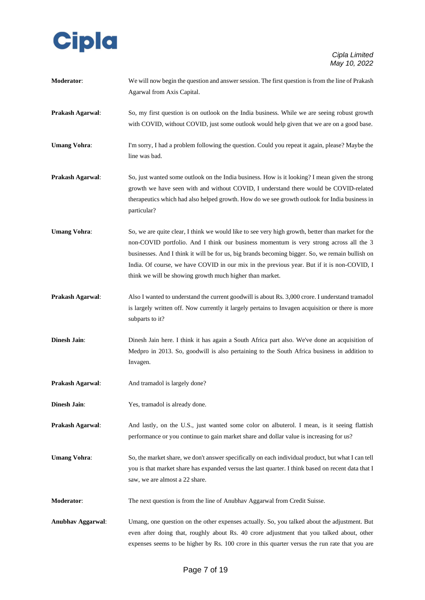

| Moderator:               | We will now begin the question and answer session. The first question is from the line of Prakash<br>Agarwal from Axis Capital.                                                                                                                                                                                                                                                                                                                          |
|--------------------------|----------------------------------------------------------------------------------------------------------------------------------------------------------------------------------------------------------------------------------------------------------------------------------------------------------------------------------------------------------------------------------------------------------------------------------------------------------|
| Prakash Agarwal:         | So, my first question is on outlook on the India business. While we are seeing robust growth<br>with COVID, without COVID, just some outlook would help given that we are on a good base.                                                                                                                                                                                                                                                                |
| <b>Umang Vohra:</b>      | I'm sorry, I had a problem following the question. Could you repeat it again, please? Maybe the<br>line was bad.                                                                                                                                                                                                                                                                                                                                         |
| Prakash Agarwal:         | So, just wanted some outlook on the India business. How is it looking? I mean given the strong<br>growth we have seen with and without COVID, I understand there would be COVID-related<br>therapeutics which had also helped growth. How do we see growth outlook for India business in<br>particular?                                                                                                                                                  |
| <b>Umang Vohra:</b>      | So, we are quite clear, I think we would like to see very high growth, better than market for the<br>non-COVID portfolio. And I think our business momentum is very strong across all the 3<br>businesses. And I think it will be for us, big brands becoming bigger. So, we remain bullish on<br>India. Of course, we have COVID in our mix in the previous year. But if it is non-COVID, I<br>think we will be showing growth much higher than market. |
| Prakash Agarwal:         | Also I wanted to understand the current goodwill is about Rs. 3,000 crore. I understand tramadol<br>is largely written off. Now currently it largely pertains to Invagen acquisition or there is more<br>subparts to it?                                                                                                                                                                                                                                 |
| <b>Dinesh Jain:</b>      | Dinesh Jain here. I think it has again a South Africa part also. We've done an acquisition of<br>Medpro in 2013. So, goodwill is also pertaining to the South Africa business in addition to<br>Invagen.                                                                                                                                                                                                                                                 |
| Prakash Agarwal:         | And tramadol is largely done?                                                                                                                                                                                                                                                                                                                                                                                                                            |
| <b>Dinesh Jain:</b>      | Yes, tramadol is already done.                                                                                                                                                                                                                                                                                                                                                                                                                           |
| Prakash Agarwal:         | And lastly, on the U.S., just wanted some color on albuterol. I mean, is it seeing flattish<br>performance or you continue to gain market share and dollar value is increasing for us?                                                                                                                                                                                                                                                                   |
| <b>Umang Vohra:</b>      | So, the market share, we don't answer specifically on each individual product, but what I can tell<br>you is that market share has expanded versus the last quarter. I think based on recent data that I<br>saw, we are almost a 22 share.                                                                                                                                                                                                               |
| Moderator:               | The next question is from the line of Anubhav Aggarwal from Credit Suisse.                                                                                                                                                                                                                                                                                                                                                                               |
| <b>Anubhav Aggarwal:</b> | Umang, one question on the other expenses actually. So, you talked about the adjustment. But<br>even after doing that, roughly about Rs. 40 crore adjustment that you talked about, other<br>expenses seems to be higher by Rs. 100 crore in this quarter versus the run rate that you are                                                                                                                                                               |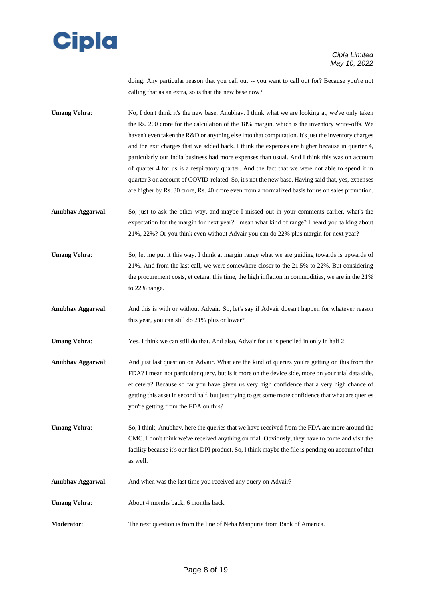

doing. Any particular reason that you call out -- you want to call out for? Because you're not calling that as an extra, so is that the new base now?

Umang Vohra: No, I don't think it's the new base, Anubhav. I think what we are looking at, we've only taken the Rs. 200 crore for the calculation of the 18% margin, which is the inventory write-offs. We haven't even taken the R&D or anything else into that computation. It's just the inventory charges and the exit charges that we added back. I think the expenses are higher because in quarter 4, particularly our India business had more expenses than usual. And I think this was on account of quarter 4 for us is a respiratory quarter. And the fact that we were not able to spend it in quarter 3 on account of COVID-related. So, it's not the new base. Having said that, yes, expenses are higher by Rs. 30 crore, Rs. 40 crore even from a normalized basis for us on sales promotion.

**Anubhav Aggarwal**: So, just to ask the other way, and maybe I missed out in your comments earlier, what's the expectation for the margin for next year? I mean what kind of range? I heard you talking about 21%, 22%? Or you think even without Advair you can do 22% plus margin for next year?

Umang Vohra: So, let me put it this way. I think at margin range what we are guiding towards is upwards of 21%. And from the last call, we were somewhere closer to the 21.5% to 22%. But considering the procurement costs, et cetera, this time, the high inflation in commodities, we are in the 21% to 22% range.

**Anubhav Aggarwal**: And this is with or without Advair. So, let's say if Advair doesn't happen for whatever reason this year, you can still do 21% plus or lower?

**Umang Vohra:** Yes. I think we can still do that. And also, Advair for us is penciled in only in half 2.

- **Anubhav Aggarwal**: And just last question on Advair. What are the kind of queries you're getting on this from the FDA? I mean not particular query, but is it more on the device side, more on your trial data side, et cetera? Because so far you have given us very high confidence that a very high chance of getting this asset in second half, but just trying to get some more confidence that what are queries you're getting from the FDA on this?
- **Umang Vohra:** So, I think, Anubhav, here the queries that we have received from the FDA are more around the CMC. I don't think we've received anything on trial. Obviously, they have to come and visit the facility because it's our first DPI product. So, I think maybe the file is pending on account of that as well.
- **Anubhav Aggarwal**: And when was the last time you received any query on Advair? Umang Vohra: About 4 months back, 6 months back.
- **Moderator**: The next question is from the line of Neha Manpuria from Bank of America.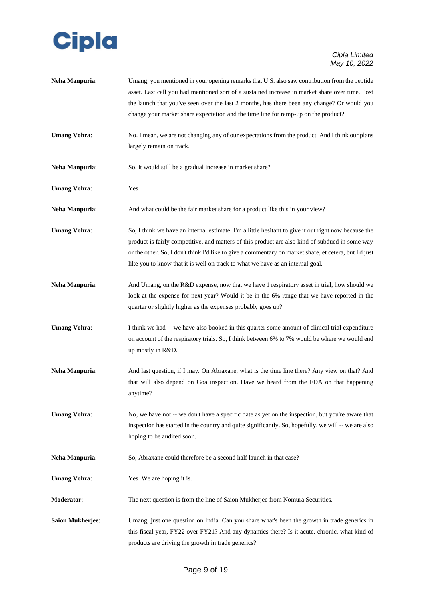

| Neha Manpuria:          | Umang, you mentioned in your opening remarks that U.S. also saw contribution from the peptide<br>asset. Last call you had mentioned sort of a sustained increase in market share over time. Post<br>the launch that you've seen over the last 2 months, has there been any change? Or would you<br>change your market share expectation and the time line for ramp-up on the product?               |
|-------------------------|-----------------------------------------------------------------------------------------------------------------------------------------------------------------------------------------------------------------------------------------------------------------------------------------------------------------------------------------------------------------------------------------------------|
| <b>Umang Vohra:</b>     | No. I mean, we are not changing any of our expectations from the product. And I think our plans<br>largely remain on track.                                                                                                                                                                                                                                                                         |
| Neha Manpuria:          | So, it would still be a gradual increase in market share?                                                                                                                                                                                                                                                                                                                                           |
| <b>Umang Vohra:</b>     | Yes.                                                                                                                                                                                                                                                                                                                                                                                                |
| Neha Manpuria:          | And what could be the fair market share for a product like this in your view?                                                                                                                                                                                                                                                                                                                       |
| <b>Umang Vohra:</b>     | So, I think we have an internal estimate. I'm a little hesitant to give it out right now because the<br>product is fairly competitive, and matters of this product are also kind of subdued in some way<br>or the other. So, I don't think I'd like to give a commentary on market share, et cetera, but I'd just<br>like you to know that it is well on track to what we have as an internal goal. |
| Neha Manpuria:          | And Umang, on the R&D expense, now that we have 1 respiratory asset in trial, how should we<br>look at the expense for next year? Would it be in the 6% range that we have reported in the<br>quarter or slightly higher as the expenses probably goes up?                                                                                                                                          |
| <b>Umang Vohra:</b>     | I think we had -- we have also booked in this quarter some amount of clinical trial expenditure<br>on account of the respiratory trials. So, I think between 6% to 7% would be where we would end<br>up mostly in R&D.                                                                                                                                                                              |
| Neha Manpuria:          | And last question, if I may. On Abraxane, what is the time line there? Any view on that? And<br>that will also depend on Goa inspection. Have we heard from the FDA on that happening<br>anytime?                                                                                                                                                                                                   |
| <b>Umang Vohra:</b>     | No, we have not -- we don't have a specific date as yet on the inspection, but you're aware that<br>inspection has started in the country and quite significantly. So, hopefully, we will -- we are also<br>hoping to be audited soon.                                                                                                                                                              |
| Neha Manpuria:          | So, Abraxane could therefore be a second half launch in that case?                                                                                                                                                                                                                                                                                                                                  |
| <b>Umang Vohra:</b>     | Yes. We are hoping it is.                                                                                                                                                                                                                                                                                                                                                                           |
| Moderator:              | The next question is from the line of Saion Mukherjee from Nomura Securities.                                                                                                                                                                                                                                                                                                                       |
| <b>Saion Mukherjee:</b> | Umang, just one question on India. Can you share what's been the growth in trade generics in<br>this fiscal year, FY22 over FY21? And any dynamics there? Is it acute, chronic, what kind of<br>products are driving the growth in trade generics?                                                                                                                                                  |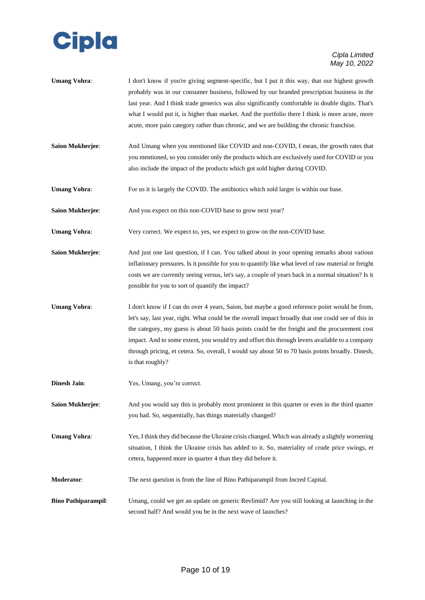

- **Umang Vohra:** I don't know if you're giving segment-specific, but I put it this way, that our highest growth probably was in our consumer business, followed by our branded prescription business in the last year. And I think trade generics was also significantly comfortable in double digits. That's what I would put it, is higher than market. And the portfolio there I think is more acute, more acute, more pain category rather than chronic, and we are building the chronic franchise.
- **Saion Mukherjee**: And Umang when you mentioned like COVID and non-COVID, I mean, the growth rates that you mentioned, so you consider only the products which are exclusively used for COVID or you also include the impact of the products which got sold higher during COVID.
- **Umang Vohra:** For us it is largely the COVID. The antibiotics which sold larger is within our base.
- **Saion Mukherjee:** And you expect on this non-COVID base to grow next year?
- **Umang Vohra:** Very correct. We expect to, yes, we expect to grow on the non-COVID base.
- **Saion Mukherjee**: And just one last question, if I can. You talked about in your opening remarks about various inflationary pressures. Is it possible for you to quantify like what level of raw material or freight costs we are currently seeing versus, let's say, a couple of years back in a normal situation? Is it possible for you to sort of quantify the impact?
- Umang Vohra: I don't know if I can do over 4 years, Saion, but maybe a good reference point would be from, let's say, last year, right. What could be the overall impact broadly that one could see of this in the category, my guess is about 50 basis points could be the freight and the procurement cost impact. And to some extent, you would try and offset this through levers available to a company through pricing, et cetera. So, overall, I would say about 50 to 70 basis points broadly. Dinesh, is that roughly?
- **Dinesh Jain:** Yes, Umang, you're correct.
- **Saion Mukherjee:** And you would say this is probably most prominent in this quarter or even in the third quarter you had. So, sequentially, has things materially changed?
- **Umang Vohra**: Yes, I think they did because the Ukraine crisis changed. Which was already a slightly worsening situation, I think the Ukraine crisis has added to it. So, materiality of crude price swings, et cetera, happened more in quarter 4 than they did before it.
- **Moderator**: The next question is from the line of Bino Pathiparampil from Incred Capital.
- **Bino Pathiparampil**: Umang, could we get an update on generic Revlimid? Are you still looking at launching in the second half? And would you be in the next wave of launches?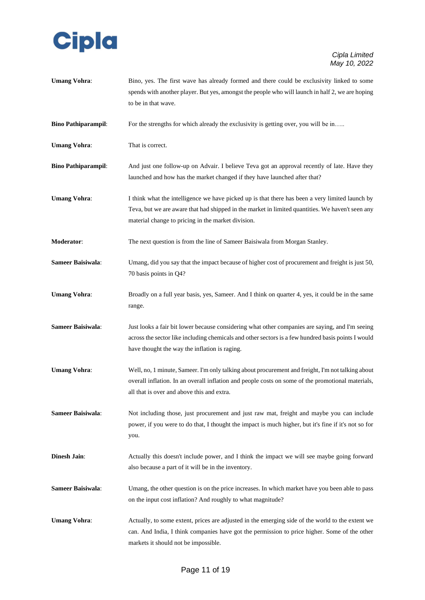

**Umang Vohra:** Bino, yes. The first wave has already formed and there could be exclusivity linked to some spends with another player. But yes, amongst the people who will launch in half 2, we are hoping to be in that wave.

**Bino Pathiparampil:** For the strengths for which already the exclusivity is getting over, you will be in…..

**Umang Vohra:** That is correct.

- **Bino Pathiparampil:** And just one follow-up on Advair. I believe Teva got an approval recently of late. Have they launched and how has the market changed if they have launched after that?
- **Umang Vohra:** I think what the intelligence we have picked up is that there has been a very limited launch by Teva, but we are aware that had shipped in the market in limited quantities. We haven't seen any material change to pricing in the market division.
- **Moderator**: The next question is from the line of Sameer Baisiwala from Morgan Stanley.
- **Sameer Baisiwala:** Umang, did you say that the impact because of higher cost of procurement and freight is just 50, 70 basis points in Q4?
- **Umang Vohra:** Broadly on a full year basis, yes, Sameer. And I think on quarter 4, yes, it could be in the same range.
- **Sameer Baisiwala:** Just looks a fair bit lower because considering what other companies are saying, and I'm seeing across the sector like including chemicals and other sectors is a few hundred basis points I would have thought the way the inflation is raging.
- **Umang Vohra**: Well, no, 1 minute, Sameer. I'm only talking about procurement and freight, I'm not talking about overall inflation. In an overall inflation and people costs on some of the promotional materials, all that is over and above this and extra.
- **Sameer Baisiwala:** Not including those, just procurement and just raw mat, freight and maybe you can include power, if you were to do that, I thought the impact is much higher, but it's fine if it's not so for you.
- **Dinesh Jain:** Actually this doesn't include power, and I think the impact we will see maybe going forward also because a part of it will be in the inventory.
- **Sameer Baisiwala:** Umang, the other question is on the price increases. In which market have you been able to pass on the input cost inflation? And roughly to what magnitude?
- **Umang Vohra:** Actually, to some extent, prices are adjusted in the emerging side of the world to the extent we can. And India, I think companies have got the permission to price higher. Some of the other markets it should not be impossible.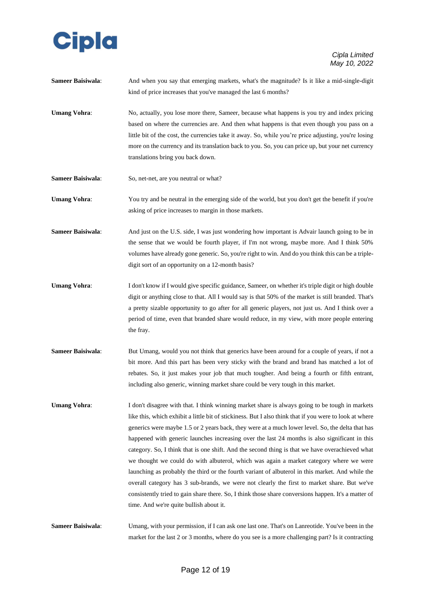

| Sameer Baisiwala: | And when you say that emerging markets, what's the magnitude? Is it like a mid-single-digit |
|-------------------|---------------------------------------------------------------------------------------------|
|                   | kind of price increases that you've managed the last 6 months?                              |

- Umang Vohra: No, actually, you lose more there, Sameer, because what happens is you try and index pricing based on where the currencies are. And then what happens is that even though you pass on a little bit of the cost, the currencies take it away. So, while you're price adjusting, you're losing more on the currency and its translation back to you. So, you can price up, but your net currency translations bring you back down.
- Sameer Baisiwala: So, net-net, are you neutral or what?

**Umang Vohra:** You try and be neutral in the emerging side of the world, but you don't get the benefit if you're asking of price increases to margin in those markets.

**Sameer Baisiwala:** And just on the U.S. side, I was just wondering how important is Advair launch going to be in the sense that we would be fourth player, if I'm not wrong, maybe more. And I think 50% volumes have already gone generic. So, you're right to win. And do you think this can be a tripledigit sort of an opportunity on a 12-month basis?

- **Umang Vohra:** I don't know if I would give specific guidance, Sameer, on whether it's triple digit or high double digit or anything close to that. All I would say is that 50% of the market is still branded. That's a pretty sizable opportunity to go after for all generic players, not just us. And I think over a period of time, even that branded share would reduce, in my view, with more people entering the fray.
- **Sameer Baisiwala:** But Umang, would you not think that generics have been around for a couple of years, if not a bit more. And this part has been very sticky with the brand and brand has matched a lot of rebates. So, it just makes your job that much tougher. And being a fourth or fifth entrant, including also generic, winning market share could be very tough in this market.
- **Umang Vohra:** I don't disagree with that. I think winning market share is always going to be tough in markets like this, which exhibit a little bit of stickiness. But I also think that if you were to look at where generics were maybe 1.5 or 2 years back, they were at a much lower level. So, the delta that has happened with generic launches increasing over the last 24 months is also significant in this category. So, I think that is one shift. And the second thing is that we have overachieved what we thought we could do with albuterol, which was again a market category where we were launching as probably the third or the fourth variant of albuterol in this market. And while the overall category has 3 sub-brands, we were not clearly the first to market share. But we've consistently tried to gain share there. So, I think those share conversions happen. It's a matter of time. And we're quite bullish about it.

**Sameer Baisiwala**: Umang, with your permission, if I can ask one last one. That's on Lanreotide. You've been in the market for the last 2 or 3 months, where do you see is a more challenging part? Is it contracting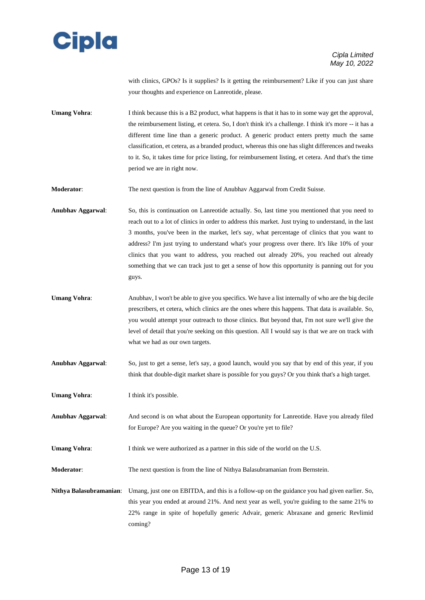

with clinics, GPOs? Is it supplies? Is it getting the reimbursement? Like if you can just share your thoughts and experience on Lanreotide, please.

**Umang Vohra:** I think because this is a B2 product, what happens is that it has to in some way get the approval, the reimbursement listing, et cetera. So, I don't think it's a challenge. I think it's more -- it has a different time line than a generic product. A generic product enters pretty much the same classification, et cetera, as a branded product, whereas this one has slight differences and tweaks to it. So, it takes time for price listing, for reimbursement listing, et cetera. And that's the time period we are in right now.

**Moderator:** The next question is from the line of Anubhav Aggarwal from Credit Suisse.

**Anubhav Aggarwal**: So, this is continuation on Lanreotide actually. So, last time you mentioned that you need to reach out to a lot of clinics in order to address this market. Just trying to understand, in the last 3 months, you've been in the market, let's say, what percentage of clinics that you want to address? I'm just trying to understand what's your progress over there. It's like 10% of your clinics that you want to address, you reached out already 20%, you reached out already something that we can track just to get a sense of how this opportunity is panning out for you guys.

- **Umang Vohra**: Anubhav, I won't be able to give you specifics. We have a list internally of who are the big decile prescribers, et cetera, which clinics are the ones where this happens. That data is available. So, you would attempt your outreach to those clinics. But beyond that, I'm not sure we'll give the level of detail that you're seeking on this question. All I would say is that we are on track with what we had as our own targets.
- **Anubhav Aggarwal**: So, just to get a sense, let's say, a good launch, would you say that by end of this year, if you think that double-digit market share is possible for you guys? Or you think that's a high target.

**Umang Vohra:** I think it's possible.

**Anubhav Aggarwal**: And second is on what about the European opportunity for Lanreotide. Have you already filed for Europe? Are you waiting in the queue? Or you're yet to file?

**Umang Vohra:** I think we were authorized as a partner in this side of the world on the U.S.

**Moderator**: The next question is from the line of Nithya Balasubramanian from Bernstein.

**Nithya Balasubramanian**: Umang, just one on EBITDA, and this is a follow-up on the guidance you had given earlier. So, this year you ended at around 21%. And next year as well, you're guiding to the same 21% to 22% range in spite of hopefully generic Advair, generic Abraxane and generic Revlimid coming?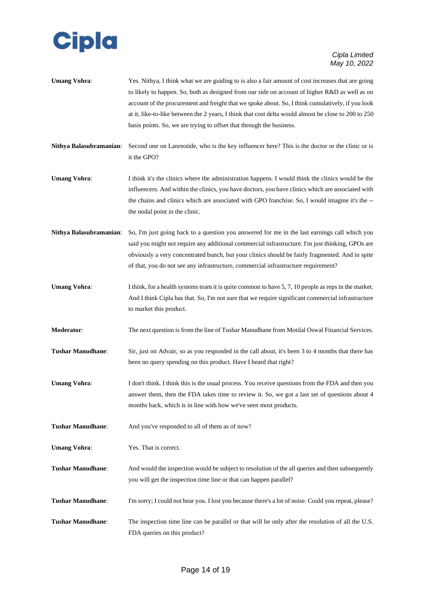

- **Umang Vohra**: Yes. Nithya, I think what we are guiding to is also a fair amount of cost increases that are going to likely to happen. So, both as designed from our side on account of higher R&D as well as on account of the procurement and freight that we spoke about. So, I think cumulatively, if you look at it, like-to-like between the 2 years, I think that cost delta would almost be close to 200 to 250 basis points. So, we are trying to offset that through the business.
- **Nithya Balasubramanian**: Second one on Lanreotide, who is the key influencer here? This is the doctor or the clinic or is it the GPO?
- **Umang Vohra:** I think it's the clinics where the administration happens. I would think the clinics would be the influencers. And within the clinics, you have doctors, you have clinics which are associated with the chains and clinics which are associated with GPO franchise. So, I would imagine it's the - the nodal point in the clinic.
- **Nithya Balasubramanian**: So, I'm just going back to a question you answered for me in the last earnings call which you said you might not require any additional commercial infrastructure. I'm just thinking, GPOs are obviously a very concentrated bunch, but your clinics should be fairly fragmented. And in spite of that, you do not see any infrastructure, commercial infrastructure requirement?
- **Umang Vohra:** I think, for a health systems team it is quite common to have 5, 7, 10 people as reps in the market. And I think Cipla has that. So, I'm not sure that we require significant commercial infrastructure to market this product.
- **Moderator**: The next question is from the line of Tushar Manudhane from Motilal Oswal Financial Services.
- **Tushar Manudhane:** Sir, just on Advair, so as you responded in the call about, it's been 3 to 4 months that there has been no query spending on this product. Have I heard that right?
- **Umang Vohra:** I don't think. I think this is the usual process. You receive questions from the FDA and then you answer them, then the FDA takes time to review it. So, we got a last set of questions about 4 months back, which is in line with how we've seen most products.
- **Tushar Manudhane**: And you've responded to all of them as of now?
- **Umang Vohra:** Yes. That is correct.
- **Tushar Manudhane**: And would the inspection would be subject to resolution of the all queries and then subsequently you will get the inspection time line or that can happen parallel?
- **Tushar Manudhane**: I'm sorry; I could not hear you. I lost you because there's a lot of noise. Could you repeat, please?
- **Tushar Manudhane**: The inspection time line can be parallel or that will be only after the resolution of all the U.S. FDA queries on this product?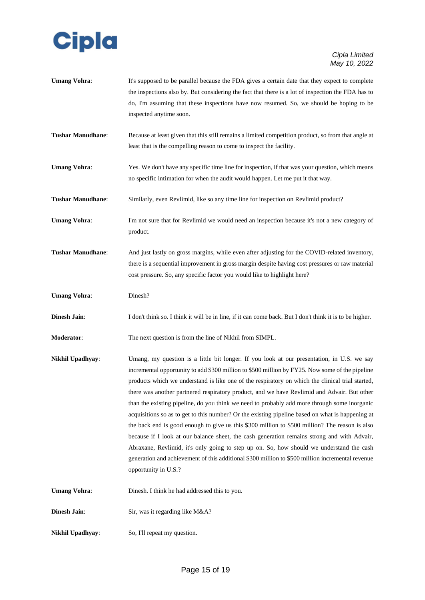

| <b>Umang Vohra:</b>      | It's supposed to be parallel because the FDA gives a certain date that they expect to complete<br>the inspections also by. But considering the fact that there is a lot of inspection the FDA has to<br>do, I'm assuming that these inspections have now resumed. So, we should be hoping to be<br>inspected anytime soon.                                                                                                                                                                                                                                                                                                                                                                                                                                                                                                                                                                                                                                                                                                    |
|--------------------------|-------------------------------------------------------------------------------------------------------------------------------------------------------------------------------------------------------------------------------------------------------------------------------------------------------------------------------------------------------------------------------------------------------------------------------------------------------------------------------------------------------------------------------------------------------------------------------------------------------------------------------------------------------------------------------------------------------------------------------------------------------------------------------------------------------------------------------------------------------------------------------------------------------------------------------------------------------------------------------------------------------------------------------|
| Tushar Manudhane:        | Because at least given that this still remains a limited competition product, so from that angle at<br>least that is the compelling reason to come to inspect the facility.                                                                                                                                                                                                                                                                                                                                                                                                                                                                                                                                                                                                                                                                                                                                                                                                                                                   |
| <b>Umang Vohra:</b>      | Yes. We don't have any specific time line for inspection, if that was your question, which means<br>no specific intimation for when the audit would happen. Let me put it that way.                                                                                                                                                                                                                                                                                                                                                                                                                                                                                                                                                                                                                                                                                                                                                                                                                                           |
| Tushar Manudhane:        | Similarly, even Revlimid, like so any time line for inspection on Revlimid product?                                                                                                                                                                                                                                                                                                                                                                                                                                                                                                                                                                                                                                                                                                                                                                                                                                                                                                                                           |
| <b>Umang Vohra:</b>      | I'm not sure that for Revlimid we would need an inspection because it's not a new category of<br>product.                                                                                                                                                                                                                                                                                                                                                                                                                                                                                                                                                                                                                                                                                                                                                                                                                                                                                                                     |
| <b>Tushar Manudhane:</b> | And just lastly on gross margins, while even after adjusting for the COVID-related inventory,<br>there is a sequential improvement in gross margin despite having cost pressures or raw material<br>cost pressure. So, any specific factor you would like to highlight here?                                                                                                                                                                                                                                                                                                                                                                                                                                                                                                                                                                                                                                                                                                                                                  |
| <b>Umang Vohra:</b>      | Dinesh?                                                                                                                                                                                                                                                                                                                                                                                                                                                                                                                                                                                                                                                                                                                                                                                                                                                                                                                                                                                                                       |
| Dinesh Jain:             | I don't think so. I think it will be in line, if it can come back. But I don't think it is to be higher.                                                                                                                                                                                                                                                                                                                                                                                                                                                                                                                                                                                                                                                                                                                                                                                                                                                                                                                      |
| <b>Moderator:</b>        | The next question is from the line of Nikhil from SIMPL.                                                                                                                                                                                                                                                                                                                                                                                                                                                                                                                                                                                                                                                                                                                                                                                                                                                                                                                                                                      |
| Nikhil Upadhyay:         | Umang, my question is a little bit longer. If you look at our presentation, in U.S. we say<br>incremental opportunity to add \$300 million to \$500 million by FY25. Now some of the pipeline<br>products which we understand is like one of the respiratory on which the clinical trial started,<br>there was another partnered respiratory product, and we have Revlimid and Advair. But other<br>than the existing pipeline, do you think we need to probably add more through some inorganic<br>acquisitions so as to get to this number? Or the existing pipeline based on what is happening at<br>the back end is good enough to give us this \$300 million to \$500 million? The reason is also<br>because if I look at our balance sheet, the cash generation remains strong and with Advair,<br>Abraxane, Revlimid, it's only going to step up on. So, how should we understand the cash<br>generation and achievement of this additional \$300 million to \$500 million incremental revenue<br>opportunity in U.S.? |
| <b>Umang Vohra:</b>      | Dinesh. I think he had addressed this to you.                                                                                                                                                                                                                                                                                                                                                                                                                                                                                                                                                                                                                                                                                                                                                                                                                                                                                                                                                                                 |
| Dinesh Jain:             | Sir, was it regarding like M&A?                                                                                                                                                                                                                                                                                                                                                                                                                                                                                                                                                                                                                                                                                                                                                                                                                                                                                                                                                                                               |
| Nikhil Upadhyay:         | So, I'll repeat my question.                                                                                                                                                                                                                                                                                                                                                                                                                                                                                                                                                                                                                                                                                                                                                                                                                                                                                                                                                                                                  |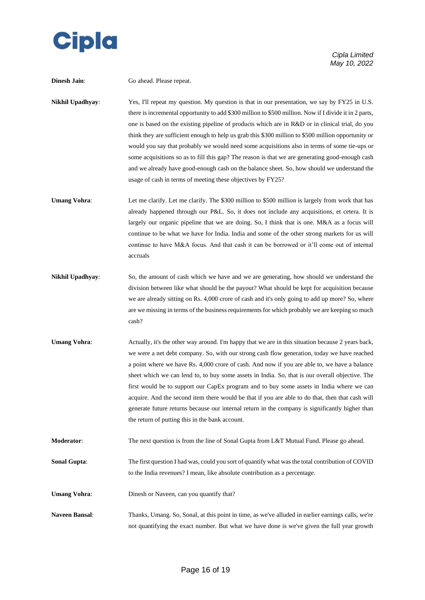

| <b>Dinesh Jain:</b>   | Go ahead. Please repeat.                                                                                                                                                                                                                                                                                                                                                                                                                                                                                                                                                                                                                                                                                                                                                           |
|-----------------------|------------------------------------------------------------------------------------------------------------------------------------------------------------------------------------------------------------------------------------------------------------------------------------------------------------------------------------------------------------------------------------------------------------------------------------------------------------------------------------------------------------------------------------------------------------------------------------------------------------------------------------------------------------------------------------------------------------------------------------------------------------------------------------|
| Nikhil Upadhyay:      | Yes, I'll repeat my question. My question is that in our presentation, we say by FY25 in U.S.<br>there is incremental opportunity to add \$300 million to \$500 million. Now if I divide it in 2 parts,<br>one is based on the existing pipeline of products which are in R&D or in clinical trial, do you<br>think they are sufficient enough to help us grab this \$300 million to \$500 million opportunity or<br>would you say that probably we would need some acquisitions also in terms of some tie-ups or<br>some acquisitions so as to fill this gap? The reason is that we are generating good-enough cash<br>and we already have good-enough cash on the balance sheet. So, how should we understand the<br>usage of cash in terms of meeting these objectives by FY25? |
| <b>Umang Vohra:</b>   | Let me clarify. Let me clarify. The \$300 million to \$500 million is largely from work that has<br>already happened through our P&L. So, it does not include any acquisitions, et cetera. It is<br>largely our organic pipeline that we are doing. So, I think that is one. M&A as a focus will<br>continue to be what we have for India. India and some of the other strong markets for us will<br>continue to have M&A focus. And that cash it can be borrowed or it'll come out of internal<br>accruals                                                                                                                                                                                                                                                                        |
| Nikhil Upadhyay:      | So, the amount of cash which we have and we are generating, how should we understand the<br>division between like what should be the payout? What should be kept for acquisition because<br>we are already sitting on Rs. 4,000 crore of cash and it's only going to add up more? So, where<br>are we missing in terms of the business requirements for which probably we are keeping so much<br>cash?                                                                                                                                                                                                                                                                                                                                                                             |
| <b>Umang Vohra:</b>   | Actually, it's the other way around. I'm happy that we are in this situation because 2 years back,<br>we were a net debt company. So, with our strong cash flow generation, today we have reached<br>a point where we have Rs. 4,000 crore of cash. And now if you are able to, we have a balance<br>sheet which we can lend to, to buy some assets in India. So, that is our overall objective. The<br>first would be to support our CapEx program and to buy some assets in India where we can<br>acquire. And the second item there would be that if you are able to do that, then that cash will<br>generate future returns because our internal return in the company is significantly higher than<br>the return of putting this in the bank account.                         |
| Moderator:            | The next question is from the line of Sonal Gupta from L&T Mutual Fund. Please go ahead.                                                                                                                                                                                                                                                                                                                                                                                                                                                                                                                                                                                                                                                                                           |
| <b>Sonal Gupta:</b>   | The first question I had was, could you sort of quantify what was the total contribution of COVID<br>to the India revenues? I mean, like absolute contribution as a percentage.                                                                                                                                                                                                                                                                                                                                                                                                                                                                                                                                                                                                    |
| <b>Umang Vohra:</b>   | Dinesh or Naveen, can you quantify that?                                                                                                                                                                                                                                                                                                                                                                                                                                                                                                                                                                                                                                                                                                                                           |
| <b>Naveen Bansal:</b> | Thanks, Umang. So, Sonal, at this point in time, as we've alluded in earlier earnings calls, we're<br>not quantifying the exact number. But what we have done is we've given the full year growth                                                                                                                                                                                                                                                                                                                                                                                                                                                                                                                                                                                  |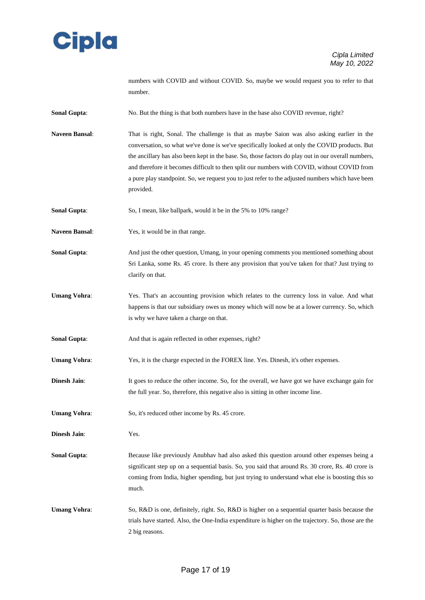

numbers with COVID and without COVID. So, maybe we would request you to refer to that number.

**Sonal Gupta:** No. But the thing is that both numbers have in the base also COVID revenue, right?

**Naveen Bansal**: That is right, Sonal. The challenge is that as maybe Saion was also asking earlier in the conversation, so what we've done is we've specifically looked at only the COVID products. But the ancillary has also been kept in the base. So, those factors do play out in our overall numbers, and therefore it becomes difficult to then split our numbers with COVID, without COVID from a pure play standpoint. So, we request you to just refer to the adjusted numbers which have been provided.

**Sonal Gupta:** So, I mean, like ballpark, would it be in the 5% to 10% range?

- **Naveen Bansal**: Yes, it would be in that range.
- **Sonal Gupta**: And just the other question, Umang, in your opening comments you mentioned something about Sri Lanka, some Rs. 45 crore. Is there any provision that you've taken for that? Just trying to clarify on that.
- **Umang Vohra**: Yes. That's an accounting provision which relates to the currency loss in value. And what happens is that our subsidiary owes us money which will now be at a lower currency. So, which is why we have taken a charge on that.
- **Sonal Gupta:** And that is again reflected in other expenses, right?
- **Umang Vohra:** Yes, it is the charge expected in the FOREX line. Yes. Dinesh, it's other expenses.
- **Dinesh Jain:** It goes to reduce the other income. So, for the overall, we have got we have exchange gain for the full year. So, therefore, this negative also is sitting in other income line.
- **Umang Vohra:** So, it's reduced other income by Rs. 45 crore.
- **Dinesh Jain**: Yes.
- **Sonal Gupta:** Because like previously Anubhav had also asked this question around other expenses being a significant step up on a sequential basis. So, you said that around Rs. 30 crore, Rs. 40 crore is coming from India, higher spending, but just trying to understand what else is boosting this so much.
- **Umang Vohra:** So, R&D is one, definitely, right. So, R&D is higher on a sequential quarter basis because the trials have started. Also, the One-India expenditure is higher on the trajectory. So, those are the 2 big reasons.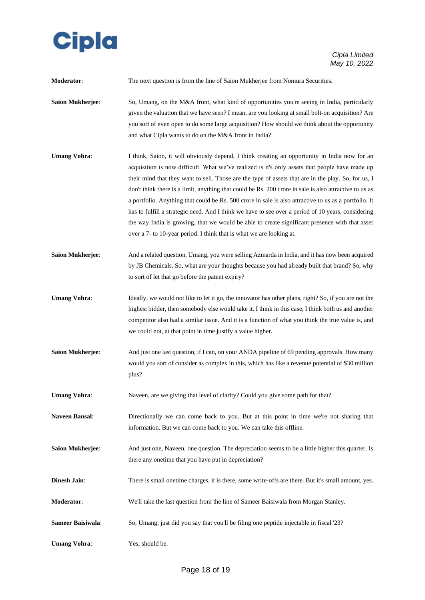

| Moderator:               | The next question is from the line of Saion Mukherjee from Nomura Securities.                                                                                                                                                                                                                                                                                                                                                                                                                                                                                                                                                                                                                                                                                                                             |
|--------------------------|-----------------------------------------------------------------------------------------------------------------------------------------------------------------------------------------------------------------------------------------------------------------------------------------------------------------------------------------------------------------------------------------------------------------------------------------------------------------------------------------------------------------------------------------------------------------------------------------------------------------------------------------------------------------------------------------------------------------------------------------------------------------------------------------------------------|
| Saion Mukherjee:         | So, Umang, on the M&A front, what kind of opportunities you're seeing in India, particularly<br>given the valuation that we have seen? I mean, are you looking at small bolt-on acquisition? Are<br>you sort of even open to do some large acquisition? How should we think about the opportunity<br>and what Cipla wants to do on the M&A front in India?                                                                                                                                                                                                                                                                                                                                                                                                                                                |
| <b>Umang Vohra:</b>      | I think, Saion, it will obviously depend, I think creating an opportunity in India now for an<br>acquisition is now difficult. What we've realized is it's only assets that people have made up<br>their mind that they want to sell. Those are the type of assets that are in the play. So, for us, I<br>don't think there is a limit, anything that could be Rs. 200 crore in sale is also attractive to us as<br>a portfolio. Anything that could be Rs. 500 crore in sale is also attractive to us as a portfolio. It<br>has to fulfill a strategic need. And I think we have to see over a period of 10 years, considering<br>the way India is growing, that we would be able to create significant presence with that asset<br>over a 7- to 10-year period. I think that is what we are looking at. |
| <b>Saion Mukherjee:</b>  | And a related question, Umang, you were selling Azmarda in India, and it has now been acquired<br>by JB Chemicals. So, what are your thoughts because you had already built that brand? So, why<br>to sort of let that go before the patent expiry?                                                                                                                                                                                                                                                                                                                                                                                                                                                                                                                                                       |
| <b>Umang Vohra:</b>      | Ideally, we would not like to let it go, the innovator has other plans, right? So, if you are not the<br>highest bidder, then somebody else would take it. I think in this case, I think both us and another<br>competitor also had a similar issue. And it is a function of what you think the true value is, and<br>we could not, at that point in time justify a value higher.                                                                                                                                                                                                                                                                                                                                                                                                                         |
| <b>Saion Mukherjee:</b>  | And just one last question, if I can, on your ANDA pipeline of 69 pending approvals. How many<br>would you sort of consider as complex in this, which has like a revenue potential of \$30 million<br>plus?                                                                                                                                                                                                                                                                                                                                                                                                                                                                                                                                                                                               |
| <b>Umang Vohra:</b>      | Naveen, are we giving that level of clarity? Could you give some path for that?                                                                                                                                                                                                                                                                                                                                                                                                                                                                                                                                                                                                                                                                                                                           |
| <b>Naveen Bansal:</b>    | Directionally we can come back to you. But at this point in time we're not sharing that<br>information. But we can come back to you. We can take this offline.                                                                                                                                                                                                                                                                                                                                                                                                                                                                                                                                                                                                                                            |
| <b>Saion Mukherjee:</b>  | And just one, Naveen, one question. The depreciation seems to be a little higher this quarter. Is<br>there any onetime that you have put in depreciation?                                                                                                                                                                                                                                                                                                                                                                                                                                                                                                                                                                                                                                                 |
| <b>Dinesh Jain:</b>      | There is small onetime charges, it is there, some write-offs are there. But it's small amount, yes.                                                                                                                                                                                                                                                                                                                                                                                                                                                                                                                                                                                                                                                                                                       |
| Moderator:               | We'll take the last question from the line of Sameer Baisiwala from Morgan Stanley.                                                                                                                                                                                                                                                                                                                                                                                                                                                                                                                                                                                                                                                                                                                       |
| <b>Sameer Baisiwala:</b> | So, Umang, just did you say that you'll be filing one peptide injectable in fiscal '23?                                                                                                                                                                                                                                                                                                                                                                                                                                                                                                                                                                                                                                                                                                                   |
| <b>Umang Vohra:</b>      | Yes, should be.                                                                                                                                                                                                                                                                                                                                                                                                                                                                                                                                                                                                                                                                                                                                                                                           |